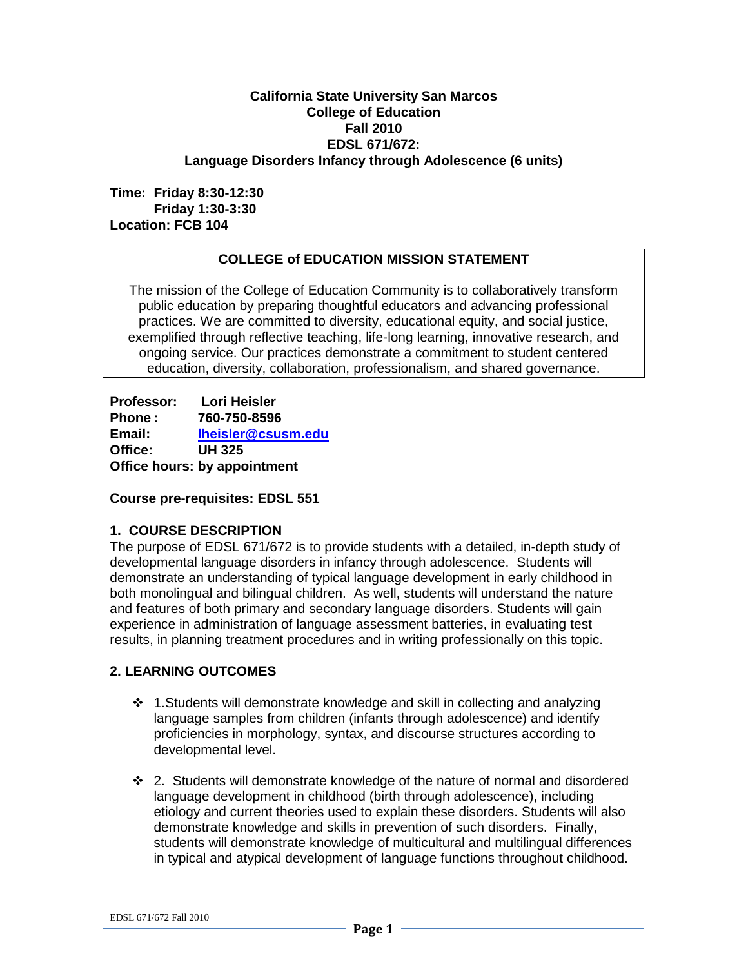### **California State University San Marcos College of Education Fall 2010 EDSL 671/672: Language Disorders Infancy through Adolescence (6 units)**

**Time: Friday 8:30-12:30 Friday 1:30-3:30 Location: FCB 104**

## **COLLEGE of EDUCATION MISSION STATEMENT**

The mission of the College of Education Community is to collaboratively transform public education by preparing thoughtful educators and advancing professional practices. We are committed to diversity, educational equity, and social justice, exemplified through reflective teaching, life-long learning, innovative research, and ongoing service. Our practices demonstrate a commitment to student centered education, diversity, collaboration, professionalism, and shared governance.

**Professor: Lori Heisler Phone : 760-750-8596 Email: [lheisler@csusm.edu](mailto:lheisler@csusm.edu) Office: UH 325 Office hours: by appointment**

#### **Course pre-requisites: EDSL 551**

### **1. COURSE DESCRIPTION**

The purpose of EDSL 671/672 is to provide students with a detailed, in-depth study of developmental language disorders in infancy through adolescence. Students will demonstrate an understanding of typical language development in early childhood in both monolingual and bilingual children. As well, students will understand the nature and features of both primary and secondary language disorders. Students will gain experience in administration of language assessment batteries, in evaluating test results, in planning treatment procedures and in writing professionally on this topic.

### **2. LEARNING OUTCOMES**

- $\cdot$  1. Students will demonstrate knowledge and skill in collecting and analyzing language samples from children (infants through adolescence) and identify proficiencies in morphology, syntax, and discourse structures according to developmental level.
- $\div$  2. Students will demonstrate knowledge of the nature of normal and disordered language development in childhood (birth through adolescence), including etiology and current theories used to explain these disorders. Students will also demonstrate knowledge and skills in prevention of such disorders. Finally, students will demonstrate knowledge of multicultural and multilingual differences in typical and atypical development of language functions throughout childhood.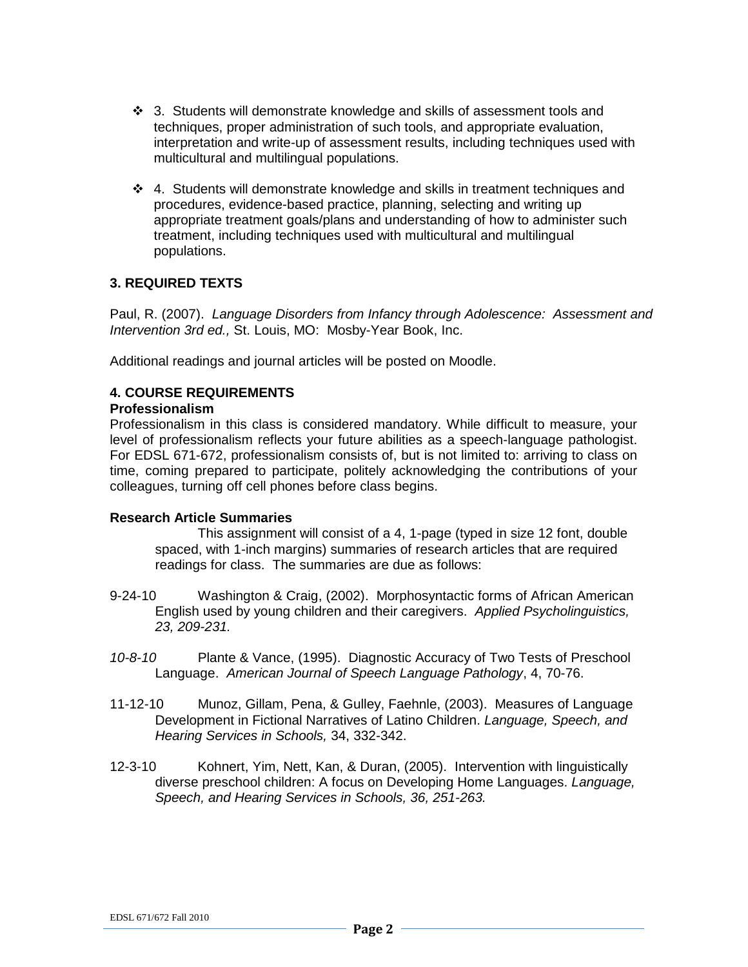- $\div$  3. Students will demonstrate knowledge and skills of assessment tools and techniques, proper administration of such tools, and appropriate evaluation, interpretation and write-up of assessment results, including techniques used with multicultural and multilingual populations.
- 4. Students will demonstrate knowledge and skills in treatment techniques and procedures, evidence-based practice, planning, selecting and writing up appropriate treatment goals/plans and understanding of how to administer such treatment, including techniques used with multicultural and multilingual populations.

### **3. REQUIRED TEXTS**

Paul, R. (2007). *Language Disorders from Infancy through Adolescence: Assessment and Intervention 3rd ed.,* St. Louis, MO: Mosby-Year Book, Inc.

Additional readings and journal articles will be posted on Moodle.

## **4. COURSE REQUIREMENTS**

#### **Professionalism**

Professionalism in this class is considered mandatory. While difficult to measure, your level of professionalism reflects your future abilities as a speech-language pathologist. For EDSL 671-672, professionalism consists of, but is not limited to: arriving to class on time, coming prepared to participate, politely acknowledging the contributions of your colleagues, turning off cell phones before class begins.

### **Research Article Summaries**

This assignment will consist of a 4, 1-page (typed in size 12 font, double spaced, with 1-inch margins) summaries of research articles that are required readings for class. The summaries are due as follows:

- 9-24-10 Washington & Craig, (2002). Morphosyntactic forms of African American English used by young children and their caregivers. *Applied Psycholinguistics, 23, 209-231.*
- *10-8-10* Plante & Vance, (1995). Diagnostic Accuracy of Two Tests of Preschool Language. *American Journal of Speech Language Pathology*, 4, 70-76.
- 11-12-10 Munoz, Gillam, Pena, & Gulley, Faehnle, (2003). Measures of Language Development in Fictional Narratives of Latino Children. *Language, Speech, and Hearing Services in Schools,* 34, 332-342.
- 12-3-10 Kohnert, Yim, Nett, Kan, & Duran, (2005). Intervention with linguistically diverse preschool children: A focus on Developing Home Languages. *Language, Speech, and Hearing Services in Schools, 36, 251-263.*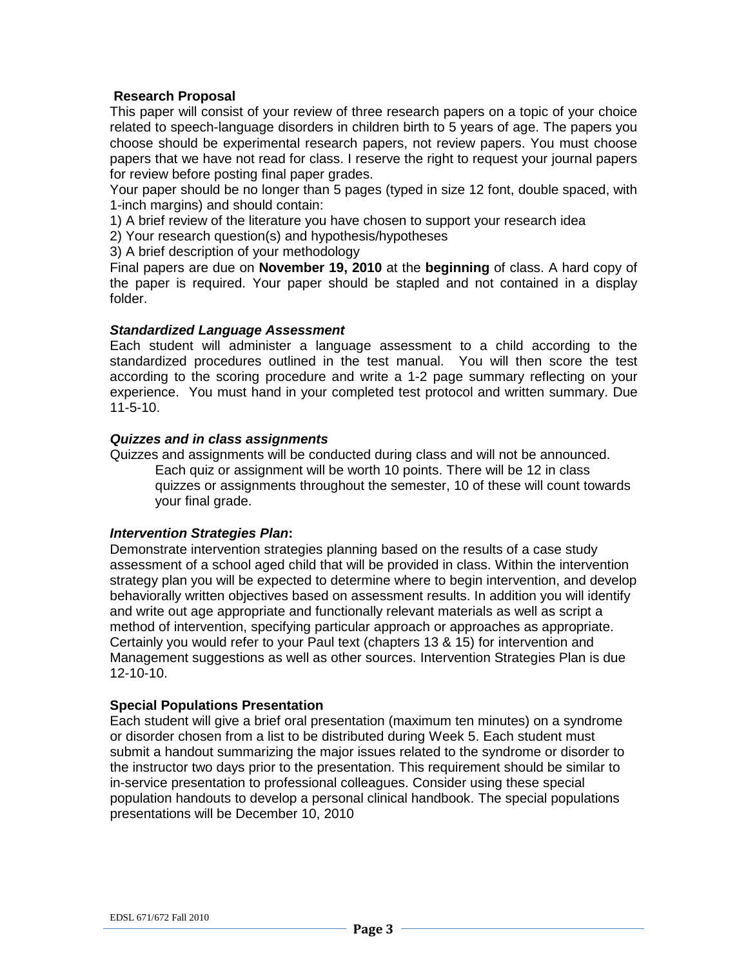### **Research Proposal**

This paper will consist of your review of three research papers on a topic of your choice related to speech-language disorders in children birth to 5 years of age. The papers you choose should be experimental research papers, not review papers. You must choose papers that we have not read for class. I reserve the right to request your journal papers for review before posting final paper grades.

Your paper should be no longer than 5 pages (typed in size 12 font, double spaced, with 1-inch margins) and should contain:

1) A brief review of the literature you have chosen to support your research idea

2) Your research question(s) and hypothesis/hypotheses

3) A brief description of your methodology

Final papers are due on **November 19, 2010** at the **beginning** of class. A hard copy of the paper is required. Your paper should be stapled and not contained in a display folder.

#### *Standardized Language Assessment*

Each student will administer a language assessment to a child according to the standardized procedures outlined in the test manual. You will then score the test according to the scoring procedure and write a 1-2 page summary reflecting on your experience. You must hand in your completed test protocol and written summary. Due 11-5-10.

### *Quizzes and in class assignments*

Quizzes and assignments will be conducted during class and will not be announced. Each quiz or assignment will be worth 10 points. There will be 12 in class quizzes or assignments throughout the semester, 10 of these will count towards your final grade.

#### *Intervention Strategies Plan***:**

Demonstrate intervention strategies planning based on the results of a case study assessment of a school aged child that will be provided in class. Within the intervention strategy plan you will be expected to determine where to begin intervention, and develop behaviorally written objectives based on assessment results. In addition you will identify and write out age appropriate and functionally relevant materials as well as script a method of intervention, specifying particular approach or approaches as appropriate. Certainly you would refer to your Paul text (chapters 13 & 15) for intervention and Management suggestions as well as other sources. Intervention Strategies Plan is due 12-10-10.

#### **Special Populations Presentation**

Each student will give a brief oral presentation (maximum ten minutes) on a syndrome or disorder chosen from a list to be distributed during Week 5. Each student must submit a handout summarizing the major issues related to the syndrome or disorder to the instructor two days prior to the presentation. This requirement should be similar to in-service presentation to professional colleagues. Consider using these special population handouts to develop a personal clinical handbook. The special populations presentations will be December 10, 2010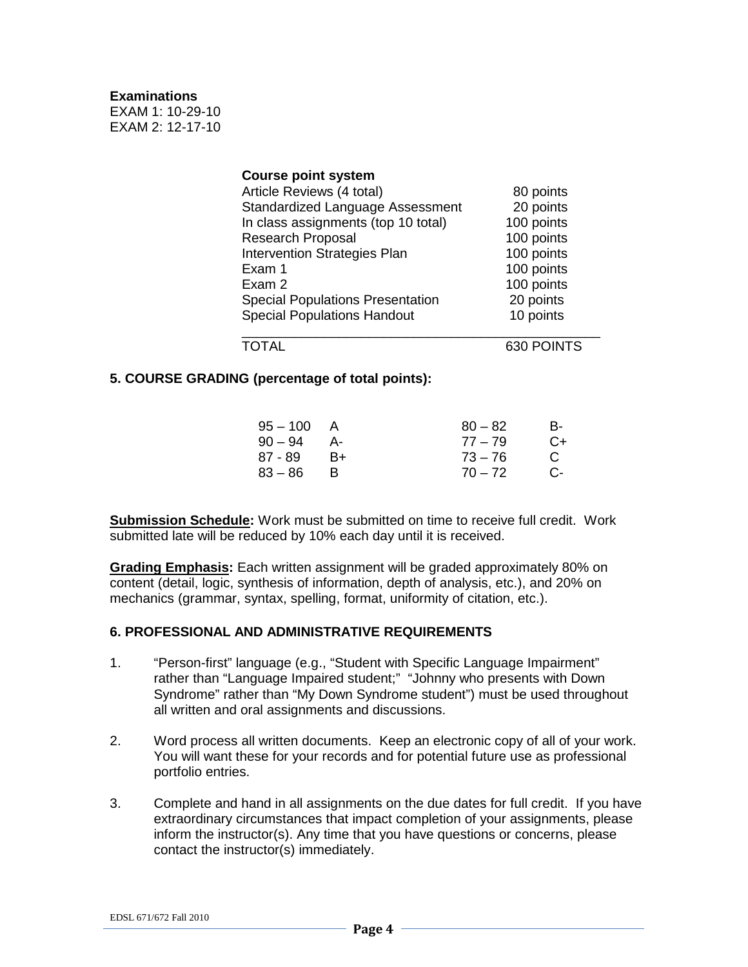#### **Examinations**

EXAM 1: 10-29-10 EXAM 2: 12-17-10

| <b>Course point system</b>              |            |
|-----------------------------------------|------------|
| Article Reviews (4 total)               | 80 points  |
| <b>Standardized Language Assessment</b> | 20 points  |
| In class assignments (top 10 total)     | 100 points |
| <b>Research Proposal</b>                | 100 points |
| <b>Intervention Strategies Plan</b>     | 100 points |
| Exam 1                                  | 100 points |
| Exam 2                                  | 100 points |
| <b>Special Populations Presentation</b> | 20 points  |
| <b>Special Populations Handout</b>      | 10 points  |
|                                         |            |

### TOTAL 630 POINTS

### **5. COURSE GRADING (percentage of total points):**

| A    | $80 - 82$ | в-   |
|------|-----------|------|
| – A- | $77 - 79$ | $C+$ |
| $B+$ | $73 - 76$ | C    |
| - R  | $70 - 72$ | .C-  |
|      |           |      |

**Submission Schedule:** Work must be submitted on time to receive full credit. Work submitted late will be reduced by 10% each day until it is received.

**Grading Emphasis:** Each written assignment will be graded approximately 80% on content (detail, logic, synthesis of information, depth of analysis, etc.), and 20% on mechanics (grammar, syntax, spelling, format, uniformity of citation, etc.).

#### **6. PROFESSIONAL AND ADMINISTRATIVE REQUIREMENTS**

- 1. "Person-first" language (e.g., "Student with Specific Language Impairment" rather than "Language Impaired student;" "Johnny who presents with Down Syndrome" rather than "My Down Syndrome student") must be used throughout all written and oral assignments and discussions.
- 2. Word process all written documents. Keep an electronic copy of all of your work. You will want these for your records and for potential future use as professional portfolio entries.
- 3. Complete and hand in all assignments on the due dates for full credit. If you have extraordinary circumstances that impact completion of your assignments, please inform the instructor(s). Any time that you have questions or concerns, please contact the instructor(s) immediately.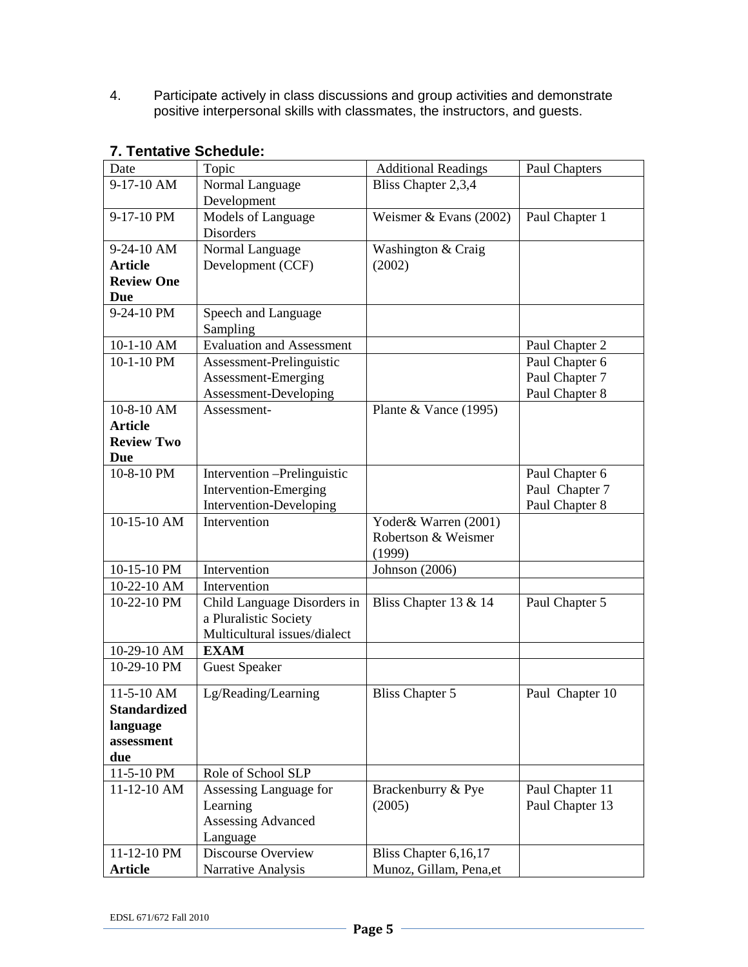4. Participate actively in class discussions and group activities and demonstrate positive interpersonal skills with classmates, the instructors, and guests.

| Date                | Topic                            | <b>Additional Readings</b> | Paul Chapters   |
|---------------------|----------------------------------|----------------------------|-----------------|
| 9-17-10 AM          | Normal Language                  | Bliss Chapter 2,3,4        |                 |
|                     | Development                      |                            |                 |
| 9-17-10 PM          | Models of Language               | Weismer $& Evans(2002)$    | Paul Chapter 1  |
|                     | <b>Disorders</b>                 |                            |                 |
| 9-24-10 AM          | Normal Language                  | Washington & Craig         |                 |
| <b>Article</b>      | Development (CCF)                | (2002)                     |                 |
| <b>Review One</b>   |                                  |                            |                 |
| Due                 |                                  |                            |                 |
| 9-24-10 PM          | Speech and Language<br>Sampling  |                            |                 |
| 10-1-10 AM          | <b>Evaluation and Assessment</b> |                            | Paul Chapter 2  |
| 10-1-10 PM          | Assessment-Prelinguistic         |                            | Paul Chapter 6  |
|                     | Assessment-Emerging              |                            | Paul Chapter 7  |
|                     | Assessment-Developing            |                            | Paul Chapter 8  |
| 10-8-10 AM          | Assessment-                      | Plante & Vance $(1995)$    |                 |
| <b>Article</b>      |                                  |                            |                 |
| <b>Review Two</b>   |                                  |                            |                 |
| Due                 |                                  |                            |                 |
| 10-8-10 PM          | Intervention -Prelinguistic      |                            | Paul Chapter 6  |
|                     | Intervention-Emerging            |                            | Paul Chapter 7  |
|                     | Intervention-Developing          |                            | Paul Chapter 8  |
| $10-15-10$ AM       | Intervention                     | Yoder& Warren (2001)       |                 |
|                     |                                  | Robertson & Weismer        |                 |
|                     |                                  | (1999)                     |                 |
| 10-15-10 PM         | Intervention                     | <b>Johnson</b> (2006)      |                 |
| 10-22-10 AM         | Intervention                     |                            |                 |
| 10-22-10 PM         | Child Language Disorders in      | Bliss Chapter 13 & 14      | Paul Chapter 5  |
|                     | a Pluralistic Society            |                            |                 |
|                     | Multicultural issues/dialect     |                            |                 |
| 10-29-10 AM         | <b>EXAM</b>                      |                            |                 |
| 10-29-10 PM         | <b>Guest Speaker</b>             |                            |                 |
| 11-5-10 AM          | Lg/Reading/Learning              | <b>Bliss Chapter 5</b>     | Paul Chapter 10 |
| <b>Standardized</b> |                                  |                            |                 |
| language            |                                  |                            |                 |
| assessment          |                                  |                            |                 |
| due                 |                                  |                            |                 |
| 11-5-10 PM          | Role of School SLP               |                            |                 |
| $11-12-10$ AM       | Assessing Language for           | Brackenburry & Pye         | Paul Chapter 11 |
|                     | Learning                         | (2005)                     | Paul Chapter 13 |
|                     | <b>Assessing Advanced</b>        |                            |                 |
|                     | Language                         |                            |                 |
| 11-12-10 PM         | Discourse Overview               | Bliss Chapter 6,16,17      |                 |
| <b>Article</b>      | Narrative Analysis               | Munoz, Gillam, Pena, et    |                 |

# **7. Tentative Schedule:**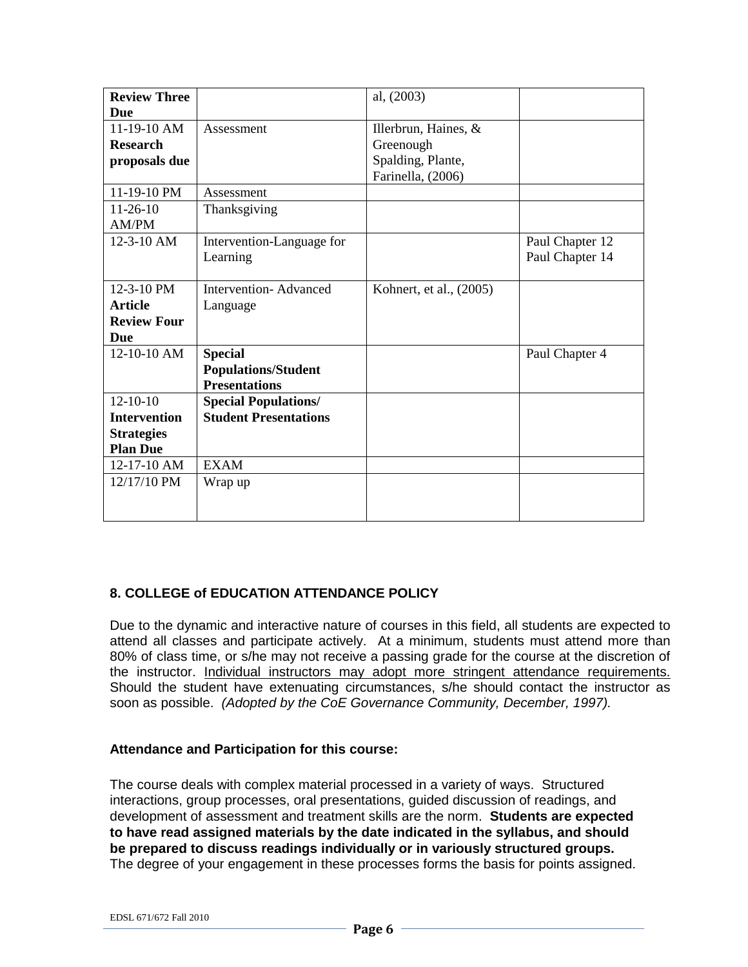| <b>Review Three</b> |                              | al, (2003)              |                 |
|---------------------|------------------------------|-------------------------|-----------------|
| Due                 |                              |                         |                 |
| 11-19-10 AM         | Assessment                   | Illerbrun, Haines, &    |                 |
| <b>Research</b>     |                              | Greenough               |                 |
| proposals due       |                              | Spalding, Plante,       |                 |
|                     |                              | Farinella, (2006)       |                 |
| 11-19-10 PM         | Assessment                   |                         |                 |
| $11 - 26 - 10$      | Thanksgiving                 |                         |                 |
| AM/PM               |                              |                         |                 |
| $12 - 3 - 10$ AM    | Intervention-Language for    |                         | Paul Chapter 12 |
|                     | Learning                     |                         | Paul Chapter 14 |
|                     |                              |                         |                 |
| 12-3-10 PM          | <b>Intervention-Advanced</b> | Kohnert, et al., (2005) |                 |
| <b>Article</b>      | Language                     |                         |                 |
| <b>Review Four</b>  |                              |                         |                 |
| Due                 |                              |                         |                 |
| 12-10-10 AM         | <b>Special</b>               |                         | Paul Chapter 4  |
|                     | <b>Populations/Student</b>   |                         |                 |
|                     | <b>Presentations</b>         |                         |                 |
| $12 - 10 - 10$      | <b>Special Populations/</b>  |                         |                 |
| <b>Intervention</b> | <b>Student Presentations</b> |                         |                 |
| <b>Strategies</b>   |                              |                         |                 |
| <b>Plan Due</b>     |                              |                         |                 |
| 12-17-10 AM         | <b>EXAM</b>                  |                         |                 |
| 12/17/10 PM         | Wrap up                      |                         |                 |
|                     |                              |                         |                 |
|                     |                              |                         |                 |

### **8. COLLEGE of EDUCATION ATTENDANCE POLICY**

Due to the dynamic and interactive nature of courses in this field, all students are expected to attend all classes and participate actively. At a minimum, students must attend more than 80% of class time, or s/he may not receive a passing grade for the course at the discretion of the instructor. Individual instructors may adopt more stringent attendance requirements. Should the student have extenuating circumstances, s/he should contact the instructor as soon as possible. *(Adopted by the CoE Governance Community, December, 1997).*

### **Attendance and Participation for this course:**

The course deals with complex material processed in a variety of ways. Structured interactions, group processes, oral presentations, guided discussion of readings, and development of assessment and treatment skills are the norm. **Students are expected to have read assigned materials by the date indicated in the syllabus, and should be prepared to discuss readings individually or in variously structured groups.** The degree of your engagement in these processes forms the basis for points assigned.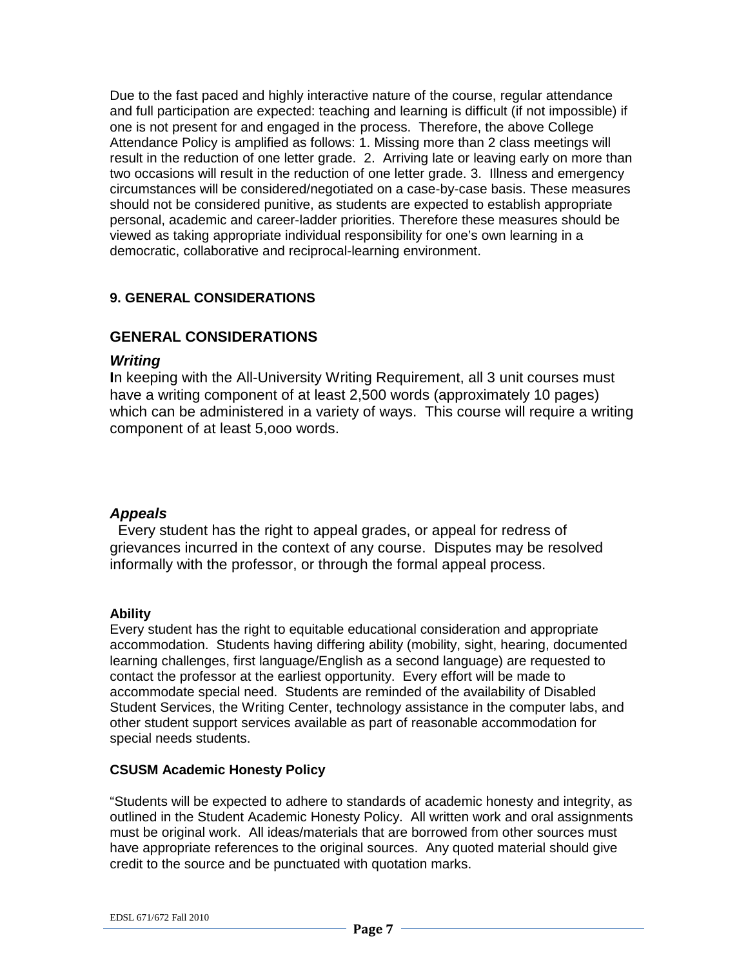Due to the fast paced and highly interactive nature of the course, regular attendance and full participation are expected: teaching and learning is difficult (if not impossible) if one is not present for and engaged in the process. Therefore, the above College Attendance Policy is amplified as follows: 1. Missing more than 2 class meetings will result in the reduction of one letter grade. 2. Arriving late or leaving early on more than two occasions will result in the reduction of one letter grade. 3. Illness and emergency circumstances will be considered/negotiated on a case-by-case basis. These measures should not be considered punitive, as students are expected to establish appropriate personal, academic and career-ladder priorities. Therefore these measures should be viewed as taking appropriate individual responsibility for one's own learning in a democratic, collaborative and reciprocal-learning environment.

## **9. GENERAL CONSIDERATIONS**

## **GENERAL CONSIDERATIONS**

### *Writing*

**I**n keeping with the All-University Writing Requirement, all 3 unit courses must have a writing component of at least 2,500 words (approximately 10 pages) which can be administered in a variety of ways. This course will require a writing component of at least 5,ooo words.

#### *Appeals*

 Every student has the right to appeal grades, or appeal for redress of grievances incurred in the context of any course. Disputes may be resolved informally with the professor, or through the formal appeal process.

#### **Ability**

Every student has the right to equitable educational consideration and appropriate accommodation. Students having differing ability (mobility, sight, hearing, documented learning challenges, first language/English as a second language) are requested to contact the professor at the earliest opportunity. Every effort will be made to accommodate special need. Students are reminded of the availability of Disabled Student Services, the Writing Center, technology assistance in the computer labs, and other student support services available as part of reasonable accommodation for special needs students.

#### **CSUSM Academic Honesty Policy**

"Students will be expected to adhere to standards of academic honesty and integrity, as outlined in the Student Academic Honesty Policy. All written work and oral assignments must be original work. All ideas/materials that are borrowed from other sources must have appropriate references to the original sources. Any quoted material should give credit to the source and be punctuated with quotation marks.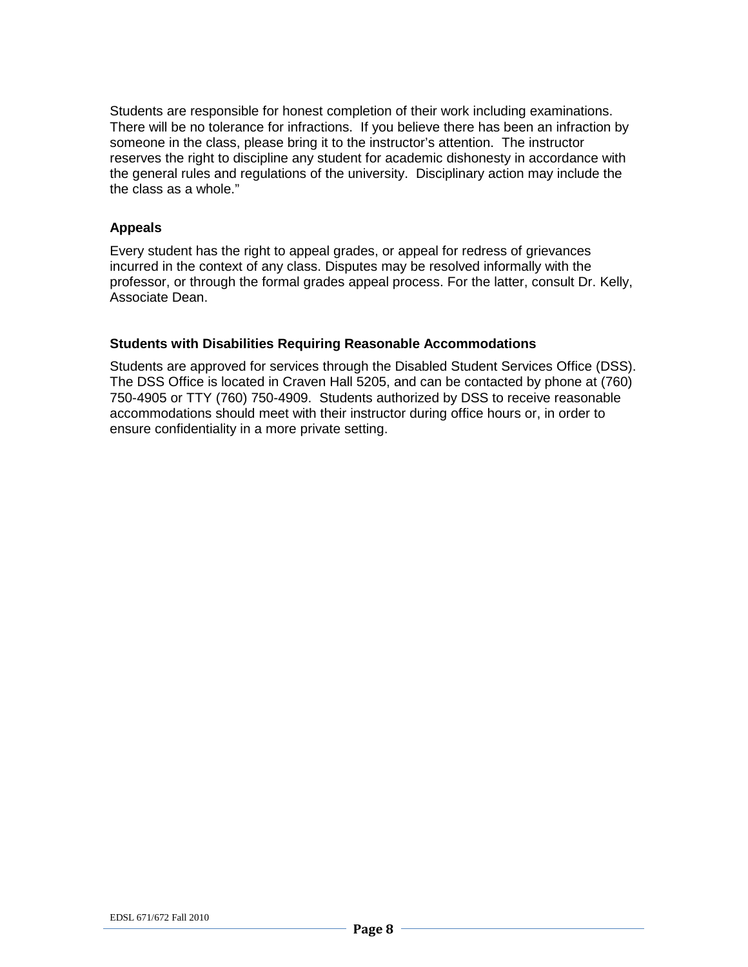Students are responsible for honest completion of their work including examinations. There will be no tolerance for infractions. If you believe there has been an infraction by someone in the class, please bring it to the instructor's attention. The instructor reserves the right to discipline any student for academic dishonesty in accordance with the general rules and regulations of the university. Disciplinary action may include the the class as a whole."

### **Appeals**

Every student has the right to appeal grades, or appeal for redress of grievances incurred in the context of any class. Disputes may be resolved informally with the professor, or through the formal grades appeal process. For the latter, consult Dr. Kelly, Associate Dean.

### **Students with Disabilities Requiring Reasonable Accommodations**

Students are approved for services through the Disabled Student Services Office (DSS). The DSS Office is located in Craven Hall 5205, and can be contacted by phone at (760) 750-4905 or TTY (760) 750-4909. Students authorized by DSS to receive reasonable accommodations should meet with their instructor during office hours or, in order to ensure confidentiality in a more private setting.